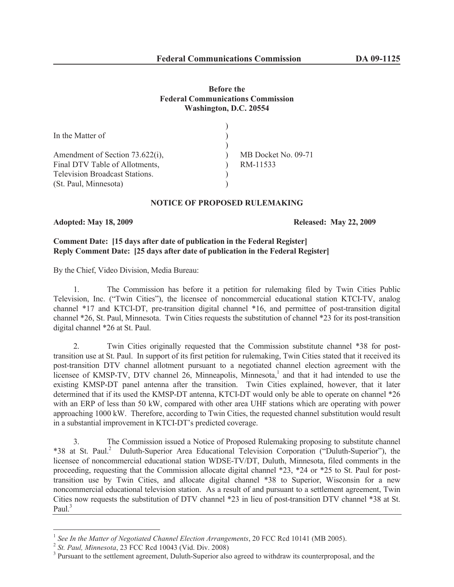### **Before the Federal Communications Commission Washington, D.C. 20554**

| MB Docket No. 09-71 |
|---------------------|
| RM-11533            |
|                     |
|                     |
|                     |

#### **NOTICE OF PROPOSED RULEMAKING**

#### **Adopted: May 18, 2009 Released: May 22, 2009**

## **Comment Date: [15 days after date of publication in the Federal Register] Reply Comment Date: [25 days after date of publication in the Federal Register]**

By the Chief, Video Division, Media Bureau:

1. The Commission has before it a petition for rulemaking filed by Twin Cities Public Television, Inc. ("Twin Cities"), the licensee of noncommercial educational station KTCI-TV, analog channel \*17 and KTCI-DT, pre-transition digital channel \*16, and permittee of post-transition digital channel \*26, St. Paul, Minnesota. Twin Cities requests the substitution of channel \*23 for its post-transition digital channel \*26 at St. Paul.

2. Twin Cities originally requested that the Commission substitute channel \*38 for posttransition use at St. Paul. In support of its first petition for rulemaking, Twin Cities stated that it received its post-transition DTV channel allotment pursuant to a negotiated channel election agreement with the licensee of KMSP-TV, DTV channel 26, Minneapolis, Minnesota,<sup>1</sup> and that it had intended to use the existing KMSP-DT panel antenna after the transition. Twin Cities explained, however, that it later determined that if its used the KMSP-DT antenna, KTCI-DT would only be able to operate on channel \*26 with an ERP of less than 50 kW, compared with other area UHF stations which are operating with power approaching 1000 kW. Therefore, according to Twin Cities, the requested channel substitution would result in a substantial improvement in KTCI-DT's predicted coverage.

3. The Commission issued a Notice of Proposed Rulemaking proposing to substitute channel \*38 at St. Paul.<sup>2</sup> Duluth-Superior Area Educational Television Corporation ("Duluth-Superior"), the licensee of noncommercial educational station WDSE-TV/DT, Duluth, Minnesota, filed comments in the proceeding, requesting that the Commission allocate digital channel \*23, \*24 or \*25 to St. Paul for posttransition use by Twin Cities, and allocate digital channel \*38 to Superior, Wisconsin for a new noncommercial educational television station. As a result of and pursuant to a settlement agreement, Twin Cities now requests the substitution of DTV channel \*23 in lieu of post-transition DTV channel \*38 at St. Paul.<sup>3</sup>

<sup>&</sup>lt;sup>1</sup> See In the Matter of Negotiated Channel Election Arrangements, 20 FCC Rcd 10141 (MB 2005).

<sup>2</sup> *St. Paul, Minnesota*, 23 FCC Rcd 10043 (Vid. Div. 2008)

<sup>&</sup>lt;sup>3</sup> Pursuant to the settlement agreement, Duluth-Superior also agreed to withdraw its counterproposal, and the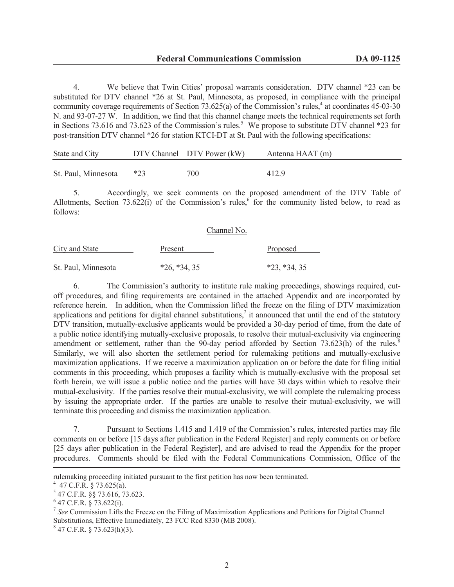4. We believe that Twin Cities' proposal warrants consideration. DTV channel \*23 can be substituted for DTV channel \*26 at St. Paul, Minnesota, as proposed, in compliance with the principal community coverage requirements of Section 73.625(a) of the Commission's rules,  $4$  at coordinates 45-03-30 N. and 93-07-27 W. In addition, we find that this channel change meets the technical requirements set forth in Sections 73.616 and 73.623 of the Commission's rules.<sup>5</sup> We propose to substitute DTV channel \*23 for post-transition DTV channel \*26 for station KTCI-DT at St. Paul with the following specifications:

| State and City      |       | DTV Channel DTV Power (kW) | Antenna HAAT (m) |
|---------------------|-------|----------------------------|------------------|
| St. Paul, Minnesota | $*23$ | 700                        | 412.9            |

5. Accordingly, we seek comments on the proposed amendment of the DTV Table of Allotments, Section 73.622(i) of the Commission's rules,<sup>6</sup> for the community listed below, to read as follows:

#### Channel No.

| <b>City and State</b> | Present        | Proposed           |
|-----------------------|----------------|--------------------|
|                       |                |                    |
| St. Paul, Minnesota   | $*26, *34, 35$ | $*23$ , $*34$ , 35 |

6. The Commission's authority to institute rule making proceedings, showings required, cutoff procedures, and filing requirements are contained in the attached Appendix and are incorporated by reference herein. In addition, when the Commission lifted the freeze on the filing of DTV maximization applications and petitions for digital channel substitutions, $\overline{a}$  it announced that until the end of the statutory DTV transition, mutually-exclusive applicants would be provided a 30-day period of time, from the date of a public notice identifying mutually-exclusive proposals, to resolve their mutual-exclusivity via engineering amendment or settlement, rather than the 90-day period afforded by Section  $73.623(h)$  of the rules.<sup>8</sup> Similarly, we will also shorten the settlement period for rulemaking petitions and mutually-exclusive maximization applications. If we receive a maximization application on or before the date for filing initial comments in this proceeding, which proposes a facility which is mutually-exclusive with the proposal set forth herein, we will issue a public notice and the parties will have 30 days within which to resolve their mutual-exclusivity. If the parties resolve their mutual-exclusivity, we will complete the rulemaking process by issuing the appropriate order. If the parties are unable to resolve their mutual-exclusivity, we will terminate this proceeding and dismiss the maximization application.

7. Pursuant to Sections 1.415 and 1.419 of the Commission's rules, interested parties may file comments on or before [15 days after publication in the Federal Register] and reply comments on or before [25 days after publication in the Federal Register], and are advised to read the Appendix for the proper procedures. Comments should be filed with the Federal Communications Commission, Office of the

rulemaking proceeding initiated pursuant to the first petition has now been terminated.

 $4$  47 C.F.R. § 73.625(a).

<sup>5</sup> 47 C.F.R. §§ 73.616, 73.623.

 $6$  47 C.F.R. § 73.622(i).

<sup>7</sup> *See* Commission Lifts the Freeze on the Filing of Maximization Applications and Petitions for Digital Channel Substitutions, Effective Immediately, 23 FCC Rcd 8330 (MB 2008).

 $847$  C.F.R. § 73.623(h)(3).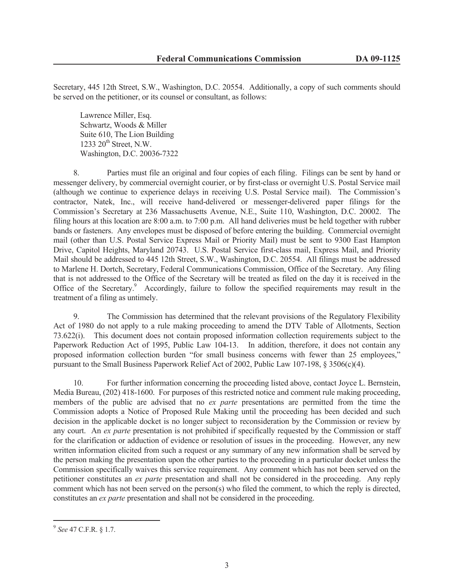Secretary, 445 12th Street, S.W., Washington, D.C. 20554. Additionally, a copy of such comments should be served on the petitioner, or its counsel or consultant, as follows:

Lawrence Miller, Esq. Schwartz, Woods & Miller Suite 610, The Lion Building 1233  $20<sup>th</sup>$  Street, N.W. Washington, D.C. 20036-7322

8. Parties must file an original and four copies of each filing. Filings can be sent by hand or messenger delivery, by commercial overnight courier, or by first-class or overnight U.S. Postal Service mail (although we continue to experience delays in receiving U.S. Postal Service mail). The Commission's contractor, Natek, Inc., will receive hand-delivered or messenger-delivered paper filings for the Commission's Secretary at 236 Massachusetts Avenue, N.E., Suite 110, Washington, D.C. 20002. The filing hours at this location are 8:00 a.m. to 7:00 p.m. All hand deliveries must be held together with rubber bands or fasteners. Any envelopes must be disposed of before entering the building. Commercial overnight mail (other than U.S. Postal Service Express Mail or Priority Mail) must be sent to 9300 East Hampton Drive, Capitol Heights, Maryland 20743. U.S. Postal Service first-class mail, Express Mail, and Priority Mail should be addressed to 445 12th Street, S.W., Washington, D.C. 20554. All filings must be addressed to Marlene H. Dortch, Secretary, Federal Communications Commission, Office of the Secretary. Any filing that is not addressed to the Office of the Secretary will be treated as filed on the day it is received in the Office of the Secretary.<sup>9</sup> Accordingly, failure to follow the specified requirements may result in the treatment of a filing as untimely.

9. The Commission has determined that the relevant provisions of the Regulatory Flexibility Act of 1980 do not apply to a rule making proceeding to amend the DTV Table of Allotments, Section 73.622(i). This document does not contain proposed information collection requirements subject to the Paperwork Reduction Act of 1995, Public Law 104-13. In addition, therefore, it does not contain any proposed information collection burden "for small business concerns with fewer than 25 employees," pursuant to the Small Business Paperwork Relief Act of 2002, Public Law 107-198, § 3506(c)(4).

10. For further information concerning the proceeding listed above, contact Joyce L. Bernstein, Media Bureau, (202) 418-1600. For purposes of this restricted notice and comment rule making proceeding, members of the public are advised that no *ex parte* presentations are permitted from the time the Commission adopts a Notice of Proposed Rule Making until the proceeding has been decided and such decision in the applicable docket is no longer subject to reconsideration by the Commission or review by any court. An *ex parte* presentation is not prohibited if specifically requested by the Commission or staff for the clarification or adduction of evidence or resolution of issues in the proceeding. However, any new written information elicited from such a request or any summary of any new information shall be served by the person making the presentation upon the other parties to the proceeding in a particular docket unless the Commission specifically waives this service requirement. Any comment which has not been served on the petitioner constitutes an *ex parte* presentation and shall not be considered in the proceeding. Any reply comment which has not been served on the person(s) who filed the comment, to which the reply is directed, constitutes an *ex parte* presentation and shall not be considered in the proceeding.

<sup>9</sup> *See* 47 C.F.R. § 1.7.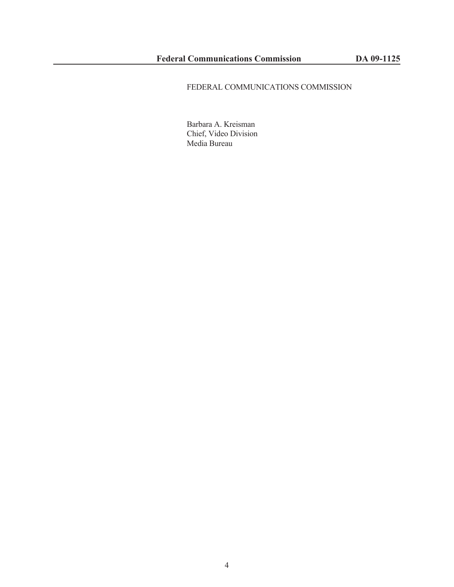# FEDERAL COMMUNICATIONS COMMISSION

Barbara A. Kreisman Chief, Video Division Media Bureau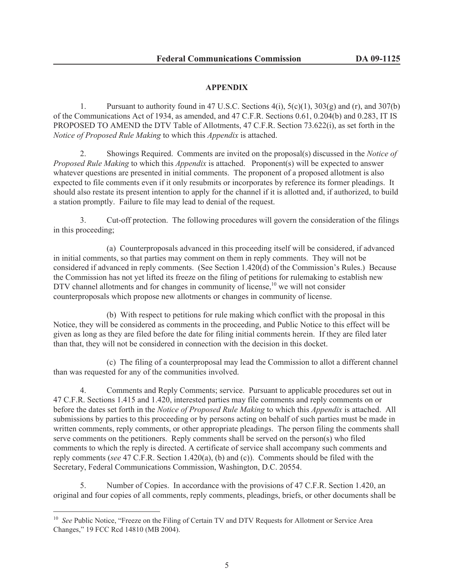## **APPENDIX**

1. Pursuant to authority found in 47 U.S.C. Sections  $4(i)$ ,  $5(c)(1)$ ,  $303(g)$  and  $(r)$ , and  $307(b)$ of the Communications Act of 1934, as amended, and 47 C.F.R. Sections 0.61, 0.204(b) and 0.283, IT IS PROPOSED TO AMEND the DTV Table of Allotments, 47 C.F.R. Section 73.622(i), as set forth in the *Notice of Proposed Rule Making* to which this *Appendix* is attached.

2. Showings Required. Comments are invited on the proposal(s) discussed in the *Notice of Proposed Rule Making* to which this *Appendix* is attached. Proponent(s) will be expected to answer whatever questions are presented in initial comments. The proponent of a proposed allotment is also expected to file comments even if it only resubmits or incorporates by reference its former pleadings. It should also restate its present intention to apply for the channel if it is allotted and, if authorized, to build a station promptly. Failure to file may lead to denial of the request.

3. Cut-off protection. The following procedures will govern the consideration of the filings in this proceeding;

(a) Counterproposals advanced in this proceeding itself will be considered, if advanced in initial comments, so that parties may comment on them in reply comments. They will not be considered if advanced in reply comments. (See Section 1.420(d) of the Commission's Rules.) Because the Commission has not yet lifted its freeze on the filing of petitions for rulemaking to establish new DTV channel allotments and for changes in community of license, $10$  we will not consider counterproposals which propose new allotments or changes in community of license.

(b) With respect to petitions for rule making which conflict with the proposal in this Notice, they will be considered as comments in the proceeding, and Public Notice to this effect will be given as long as they are filed before the date for filing initial comments herein. If they are filed later than that, they will not be considered in connection with the decision in this docket.

(c) The filing of a counterproposal may lead the Commission to allot a different channel than was requested for any of the communities involved.

4. Comments and Reply Comments; service. Pursuant to applicable procedures set out in 47 C.F.R. Sections 1.415 and 1.420, interested parties may file comments and reply comments on or before the dates set forth in the *Notice of Proposed Rule Making* to which this *Appendix* is attached. All submissions by parties to this proceeding or by persons acting on behalf of such parties must be made in written comments, reply comments, or other appropriate pleadings. The person filing the comments shall serve comments on the petitioners. Reply comments shall be served on the person(s) who filed comments to which the reply is directed. A certificate of service shall accompany such comments and reply comments (*see* 47 C.F.R. Section 1.420(a), (b) and (c)). Comments should be filed with the Secretary, Federal Communications Commission, Washington, D.C. 20554.

5. Number of Copies. In accordance with the provisions of 47 C.F.R. Section 1.420, an original and four copies of all comments, reply comments, pleadings, briefs, or other documents shall be

<sup>&</sup>lt;sup>10</sup> *See* Public Notice, "Freeze on the Filing of Certain TV and DTV Requests for Allotment or Service Area Changes," 19 FCC Rcd 14810 (MB 2004).